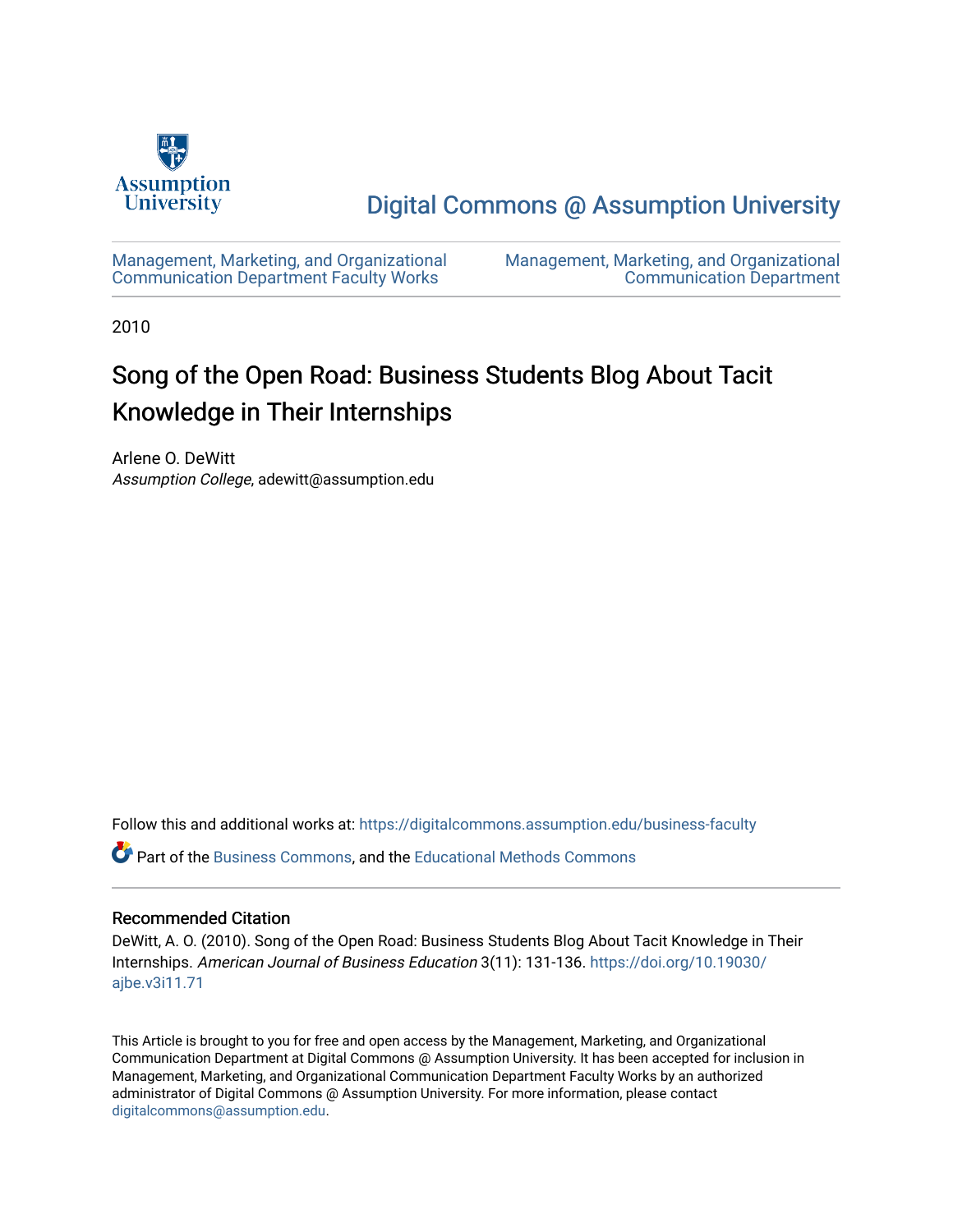

[Digital Commons @ Assumption University](https://digitalcommons.assumption.edu/) 

[Management, Marketing, and Organizational](https://digitalcommons.assumption.edu/business-faculty) [Communication Department Faculty Works](https://digitalcommons.assumption.edu/business-faculty) 

[Management, Marketing, and Organizational](https://digitalcommons.assumption.edu/business)  [Communication Department](https://digitalcommons.assumption.edu/business) 

2010

# Song of the Open Road: Business Students Blog About Tacit Knowledge in Their Internships

Arlene O. DeWitt Assumption College, adewitt@assumption.edu

Follow this and additional works at: [https://digitalcommons.assumption.edu/business-faculty](https://digitalcommons.assumption.edu/business-faculty?utm_source=digitalcommons.assumption.edu%2Fbusiness-faculty%2F4&utm_medium=PDF&utm_campaign=PDFCoverPages)

Part of the [Business Commons](http://network.bepress.com/hgg/discipline/622?utm_source=digitalcommons.assumption.edu%2Fbusiness-faculty%2F4&utm_medium=PDF&utm_campaign=PDFCoverPages), and the [Educational Methods Commons](http://network.bepress.com/hgg/discipline/1227?utm_source=digitalcommons.assumption.edu%2Fbusiness-faculty%2F4&utm_medium=PDF&utm_campaign=PDFCoverPages) 

# Recommended Citation

DeWitt, A. O. (2010). Song of the Open Road: Business Students Blog About Tacit Knowledge in Their Internships. American Journal of Business Education 3(11): 131-136. [https://doi.org/10.19030/](https://doi.org/10.19030/ajbe.v3i11.71) [ajbe.v3i11.71](https://doi.org/10.19030/ajbe.v3i11.71)

This Article is brought to you for free and open access by the Management, Marketing, and Organizational Communication Department at Digital Commons @ Assumption University. It has been accepted for inclusion in Management, Marketing, and Organizational Communication Department Faculty Works by an authorized administrator of Digital Commons @ Assumption University. For more information, please contact [digitalcommons@assumption.edu](mailto:digitalcommons@assumption.edu).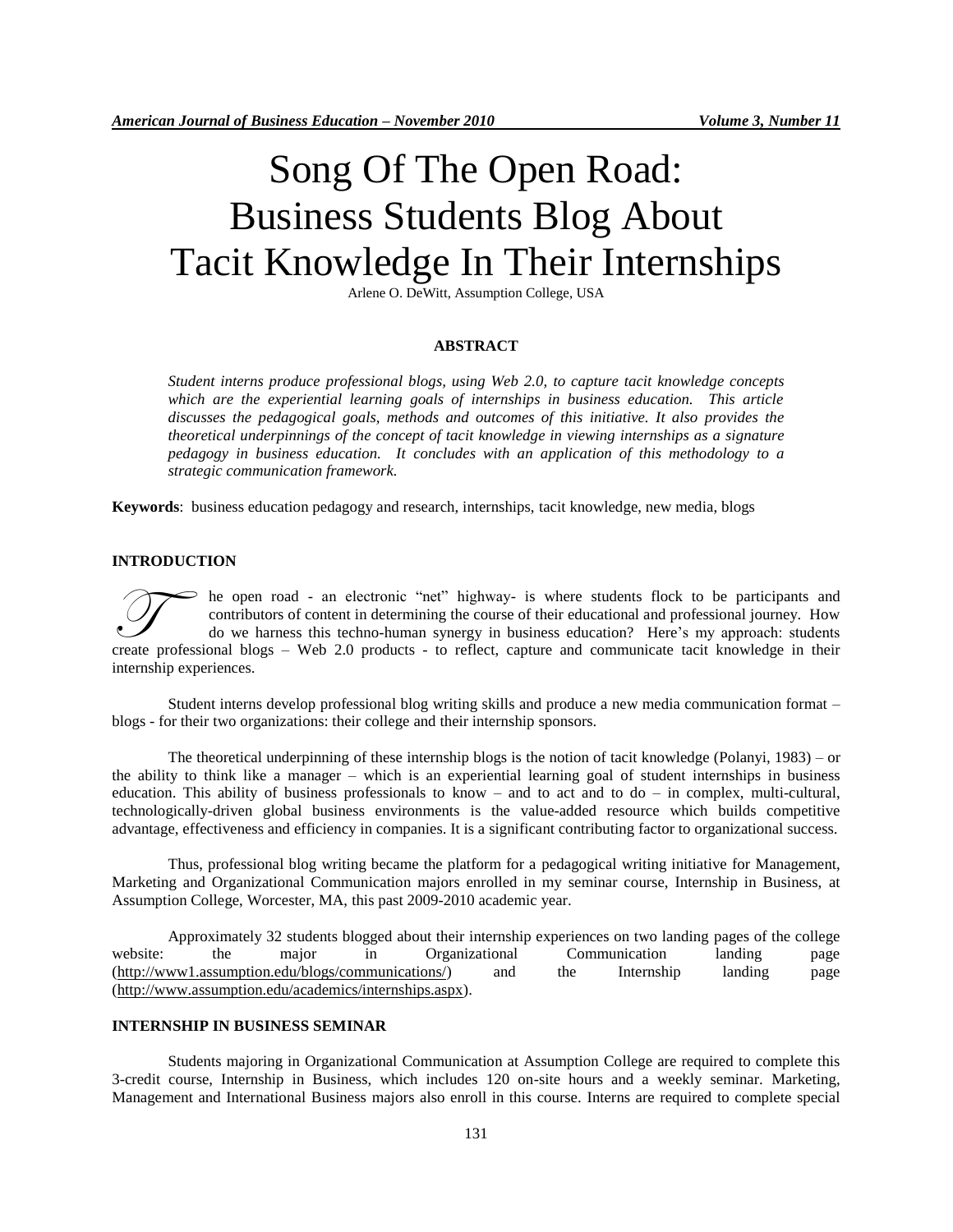# Song Of The Open Road: Business Students Blog About Tacit Knowledge In Their Internships

Arlene O. DeWitt, Assumption College, USA

#### **ABSTRACT**

*Student interns produce professional blogs, using Web 2.0, to capture tacit knowledge concepts which are the experiential learning goals of internships in business education. This article discusses the pedagogical goals, methods and outcomes of this initiative. It also provides the theoretical underpinnings of the concept of tacit knowledge in viewing internships as a signature pedagogy in business education. It concludes with an application of this methodology to a strategic communication framework.*

**Keywords**: business education pedagogy and research, internships, tacit knowledge, new media, blogs

#### **INTRODUCTION**

he open road - an electronic "net" highway- is where students flock to be participants and contributors of content in determining the course of their educational and professional journey. How do we harness this techno-human synergy in business education? Here's my approach: students The open road - an electronic "net" highway- is where students flock to be participants and contributors of content in determining the course of their educational and professional journey. How do we harness this techno-hum internship experiences.

Student interns develop professional blog writing skills and produce a new media communication format – blogs - for their two organizations: their college and their internship sponsors.

The theoretical underpinning of these internship blogs is the notion of tacit knowledge (Polanyi, 1983) – or the ability to think like a manager – which is an experiential learning goal of student internships in business education. This ability of business professionals to know – and to act and to do – in complex, multi-cultural, technologically-driven global business environments is the value-added resource which builds competitive advantage, effectiveness and efficiency in companies. It is a significant contributing factor to organizational success.

Thus, professional blog writing became the platform for a pedagogical writing initiative for Management, Marketing and Organizational Communication majors enrolled in my seminar course, Internship in Business, at Assumption College, Worcester, MA, this past 2009-2010 academic year.

Approximately 32 students blogged about their internship experiences on two landing pages of the college website: the major in Organizational Communication landing page [\(http://www1.assumption.edu/blogs/communications/\)](http://www1.assumption.edu/blogs/communications/) and the Internship landing page [\(http://www.assumption.edu/academics/internships.aspx\)](http://www.assumption.edu/academics/internships.aspx).

# **INTERNSHIP IN BUSINESS SEMINAR**

Students majoring in Organizational Communication at Assumption College are required to complete this 3-credit course, Internship in Business, which includes 120 on-site hours and a weekly seminar. Marketing, Management and International Business majors also enroll in this course. Interns are required to complete special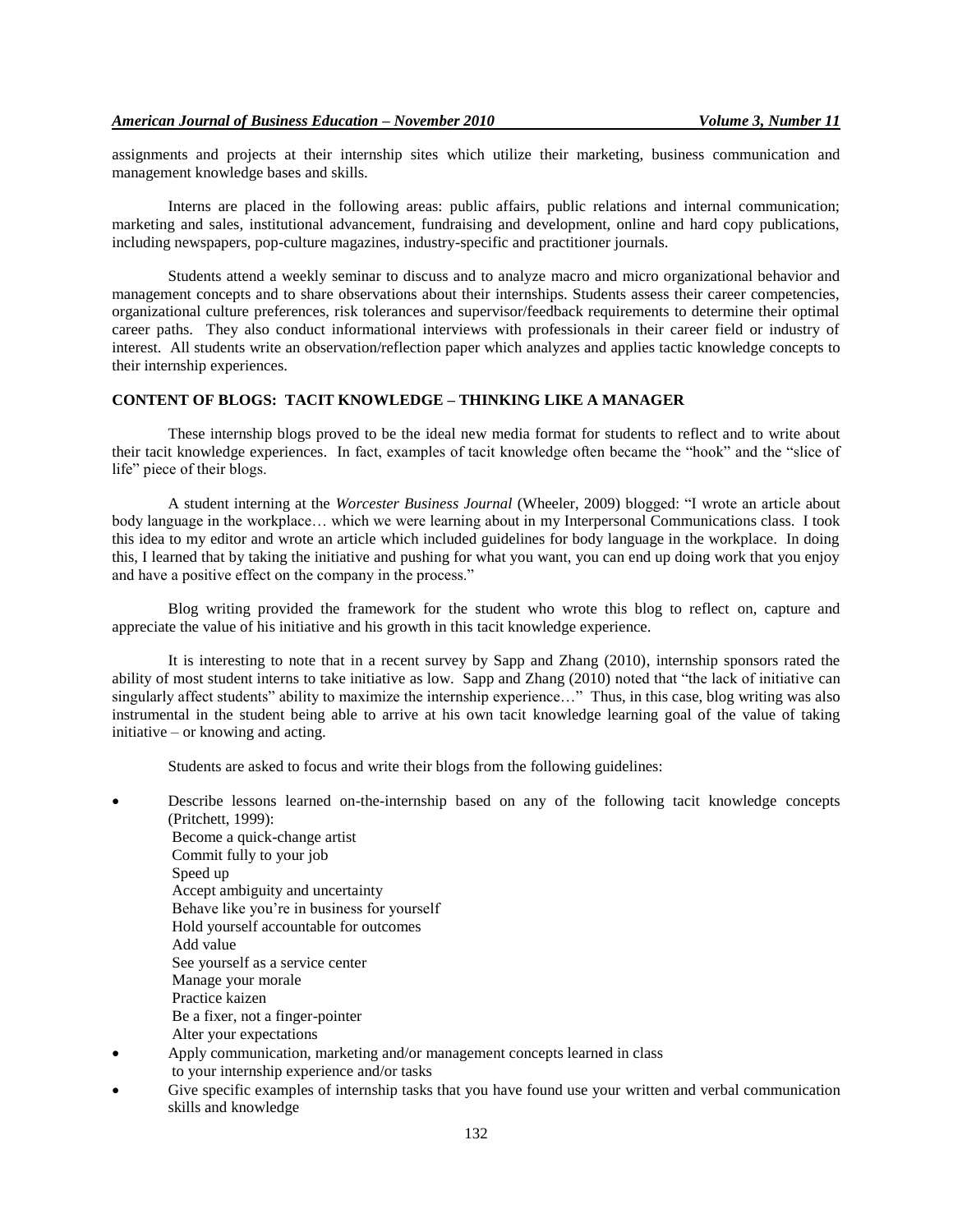assignments and projects at their internship sites which utilize their marketing, business communication and management knowledge bases and skills.

Interns are placed in the following areas: public affairs, public relations and internal communication; marketing and sales, institutional advancement, fundraising and development, online and hard copy publications, including newspapers, pop-culture magazines, industry-specific and practitioner journals.

Students attend a weekly seminar to discuss and to analyze macro and micro organizational behavior and management concepts and to share observations about their internships. Students assess their career competencies, organizational culture preferences, risk tolerances and supervisor/feedback requirements to determine their optimal career paths. They also conduct informational interviews with professionals in their career field or industry of interest. All students write an observation/reflection paper which analyzes and applies tactic knowledge concepts to their internship experiences.

# **CONTENT OF BLOGS: TACIT KNOWLEDGE – THINKING LIKE A MANAGER**

These internship blogs proved to be the ideal new media format for students to reflect and to write about their tacit knowledge experiences. In fact, examples of tacit knowledge often became the "hook" and the "slice of life" piece of their blogs.

A student interning at the *Worcester Business Journal* (Wheeler, 2009) blogged: "I wrote an article about body language in the workplace… which we were learning about in my Interpersonal Communications class. I took this idea to my editor and wrote an article which included guidelines for body language in the workplace. In doing this, I learned that by taking the initiative and pushing for what you want, you can end up doing work that you enjoy and have a positive effect on the company in the process."

Blog writing provided the framework for the student who wrote this blog to reflect on, capture and appreciate the value of his initiative and his growth in this tacit knowledge experience.

It is interesting to note that in a recent survey by Sapp and Zhang (2010), internship sponsors rated the ability of most student interns to take initiative as low. Sapp and Zhang (2010) noted that "the lack of initiative can singularly affect students" ability to maximize the internship experience..." Thus, in this case, blog writing was also instrumental in the student being able to arrive at his own tacit knowledge learning goal of the value of taking initiative – or knowing and acting.

Students are asked to focus and write their blogs from the following guidelines:

- Describe lessons learned on-the-internship based on any of the following tacit knowledge concepts (Pritchett, 1999):
	- Become a quick-change artist Commit fully to your job Speed up Accept ambiguity and uncertainty Behave like you're in business for yourself Hold yourself accountable for outcomes Add value See yourself as a service center Manage your morale Practice kaizen Be a fixer, not a finger-pointer Alter your expectations
- Apply communication, marketing and/or management concepts learned in class to your internship experience and/or tasks
- Give specific examples of internship tasks that you have found use your written and verbal communication skills and knowledge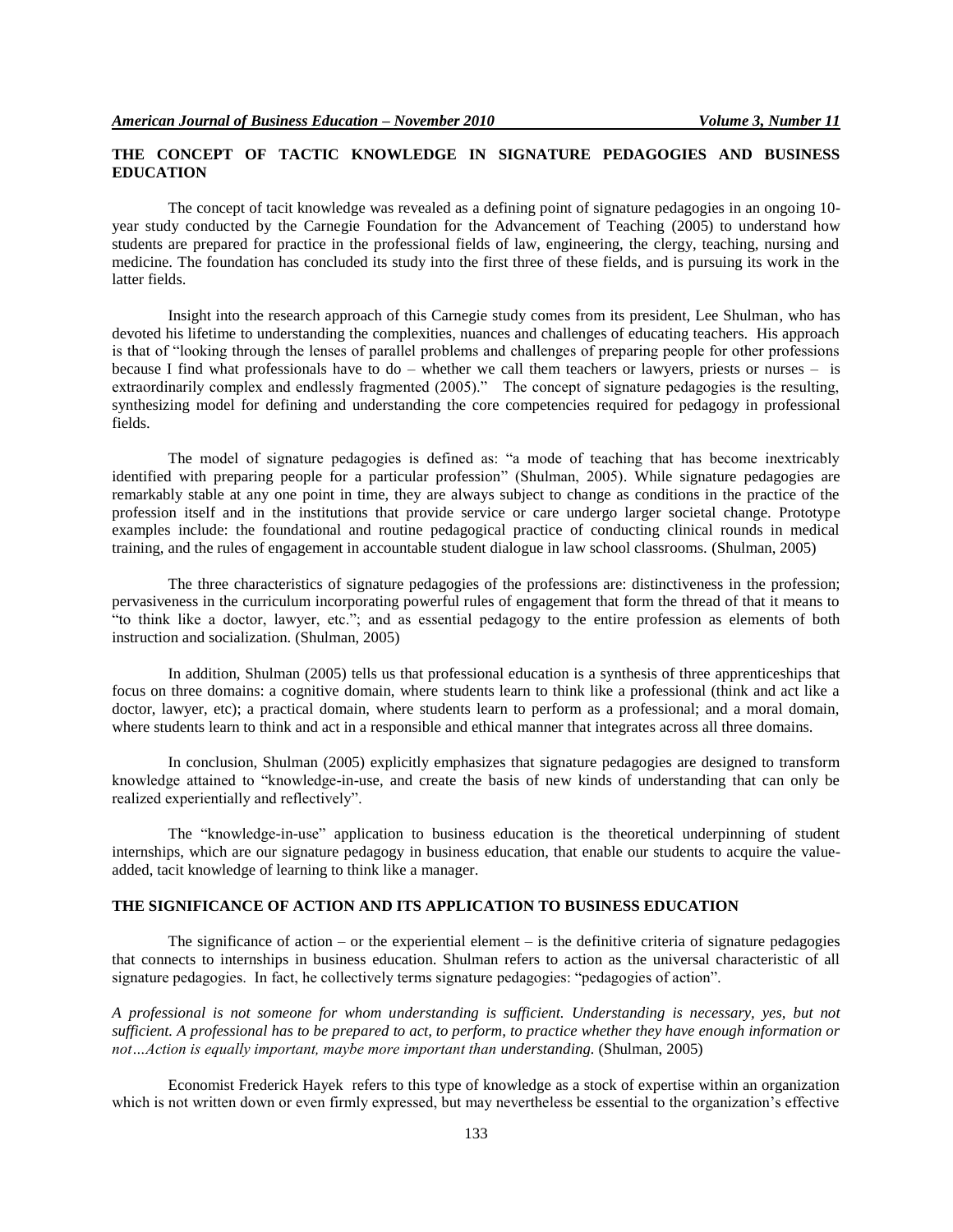# **THE CONCEPT OF TACTIC KNOWLEDGE IN SIGNATURE PEDAGOGIES AND BUSINESS EDUCATION**

The concept of tacit knowledge was revealed as a defining point of signature pedagogies in an ongoing 10 year study conducted by the Carnegie Foundation for the Advancement of Teaching (2005) to understand how students are prepared for practice in the professional fields of law, engineering, the clergy, teaching, nursing and medicine. The foundation has concluded its study into the first three of these fields, and is pursuing its work in the latter fields.

Insight into the research approach of this Carnegie study comes from its president, Lee Shulman, who has devoted his lifetime to understanding the complexities, nuances and challenges of educating teachers. His approach is that of "looking through the lenses of parallel problems and challenges of preparing people for other professions because I find what professionals have to do – whether we call them teachers or lawyers, priests or nurses – is extraordinarily complex and endlessly fragmented (2005)." The concept of signature pedagogies is the resulting, synthesizing model for defining and understanding the core competencies required for pedagogy in professional fields.

The model of signature pedagogies is defined as: "a mode of teaching that has become inextricably identified with preparing people for a particular profession" (Shulman, 2005). While signature pedagogies are remarkably stable at any one point in time, they are always subject to change as conditions in the practice of the profession itself and in the institutions that provide service or care undergo larger societal change. Prototype examples include: the foundational and routine pedagogical practice of conducting clinical rounds in medical training, and the rules of engagement in accountable student dialogue in law school classrooms. (Shulman, 2005)

The three characteristics of signature pedagogies of the professions are: distinctiveness in the profession; pervasiveness in the curriculum incorporating powerful rules of engagement that form the thread of that it means to "to think like a doctor, lawyer, etc."; and as essential pedagogy to the entire profession as elements of both instruction and socialization. (Shulman, 2005)

In addition, Shulman (2005) tells us that professional education is a synthesis of three apprenticeships that focus on three domains: a cognitive domain, where students learn to think like a professional (think and act like a doctor, lawyer, etc); a practical domain, where students learn to perform as a professional; and a moral domain, where students learn to think and act in a responsible and ethical manner that integrates across all three domains.

In conclusion, Shulman (2005) explicitly emphasizes that signature pedagogies are designed to transform knowledge attained to "knowledge-in-use, and create the basis of new kinds of understanding that can only be realized experientially and reflectively".

The "knowledge-in-use" application to business education is the theoretical underpinning of student internships, which are our signature pedagogy in business education, that enable our students to acquire the valueadded, tacit knowledge of learning to think like a manager.

# **THE SIGNIFICANCE OF ACTION AND ITS APPLICATION TO BUSINESS EDUCATION**

The significance of action – or the experiential element – is the definitive criteria of signature pedagogies that connects to internships in business education. Shulman refers to action as the universal characteristic of all signature pedagogies. In fact, he collectively terms signature pedagogies: "pedagogies of action".

*A professional is not someone for whom understanding is sufficient. Understanding is necessary, yes, but not sufficient. A professional has to be prepared to act, to perform, to practice whether they have enough information or not…Action is equally important, maybe more important than understanding.* (Shulman, 2005)

Economist Frederick Hayek refers to this type of knowledge as a stock of expertise within an organization which is not written down or even firmly expressed, but may nevertheless be essential to the organization's effective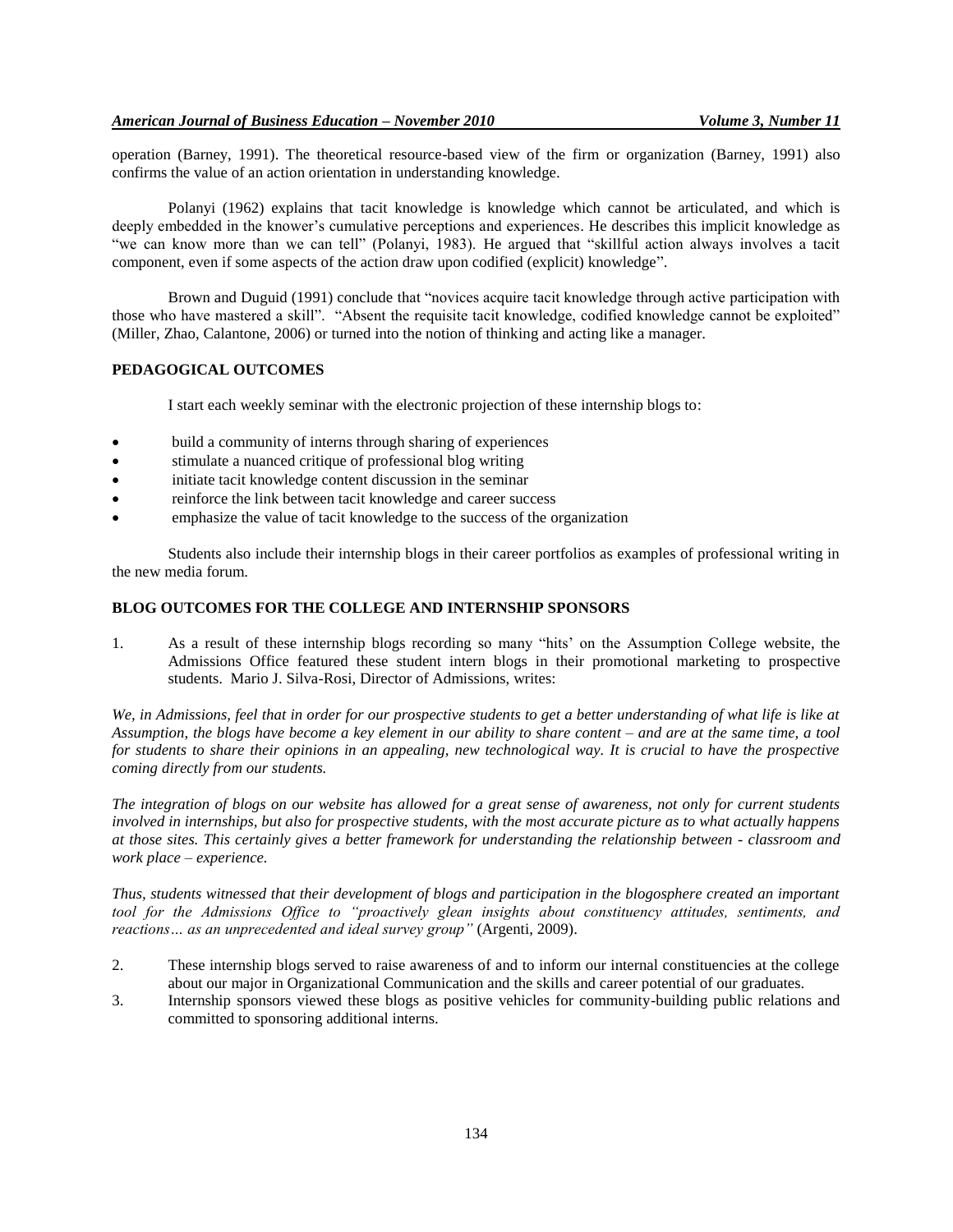operation (Barney, 1991). The theoretical resource-based view of the firm or organization (Barney, 1991) also confirms the value of an action orientation in understanding knowledge.

Polanyi (1962) explains that tacit knowledge is knowledge which cannot be articulated, and which is deeply embedded in the knower's cumulative perceptions and experiences. He describes this implicit knowledge as "we can know more than we can tell" (Polanyi, 1983). He argued that "skillful action always involves a tacit component, even if some aspects of the action draw upon codified (explicit) knowledge".

Brown and Duguid (1991) conclude that "novices acquire tacit knowledge through active participation with those who have mastered a skill". "Absent the requisite tacit knowledge, codified knowledge cannot be exploited" (Miller, Zhao, Calantone, 2006) or turned into the notion of thinking and acting like a manager.

# **PEDAGOGICAL OUTCOMES**

I start each weekly seminar with the electronic projection of these internship blogs to:

- build a community of interns through sharing of experiences
- stimulate a nuanced critique of professional blog writing
- initiate tacit knowledge content discussion in the seminar
- reinforce the link between tacit knowledge and career success
- emphasize the value of tacit knowledge to the success of the organization

Students also include their internship blogs in their career portfolios as examples of professional writing in the new media forum.

# **BLOG OUTCOMES FOR THE COLLEGE AND INTERNSHIP SPONSORS**

1. As a result of these internship blogs recording so many "hits' on the Assumption College website, the Admissions Office featured these student intern blogs in their promotional marketing to prospective students. Mario J. Silva-Rosi, Director of Admissions, writes:

*We, in Admissions, feel that in order for our prospective students to get a better understanding of what life is like at Assumption, the blogs have become a key element in our ability to share content – and are at the same time, a tool for students to share their opinions in an appealing, new technological way. It is crucial to have the prospective coming directly from our students.*

*The integration of blogs on our website has allowed for a great sense of awareness, not only for current students involved in internships, but also for prospective students, with the most accurate picture as to what actually happens at those sites. This certainly gives a better framework for understanding the relationship between - classroom and work place – experience.*

*Thus, students witnessed that their development of blogs and participation in the blogosphere created an important tool for the Admissions Office to "proactively glean insights about constituency attitudes, sentiments, and reactions… as an unprecedented and ideal survey group"* (Argenti, 2009).

- 2. These internship blogs served to raise awareness of and to inform our internal constituencies at the college about our major in Organizational Communication and the skills and career potential of our graduates.
- 3. Internship sponsors viewed these blogs as positive vehicles for community-building public relations and committed to sponsoring additional interns.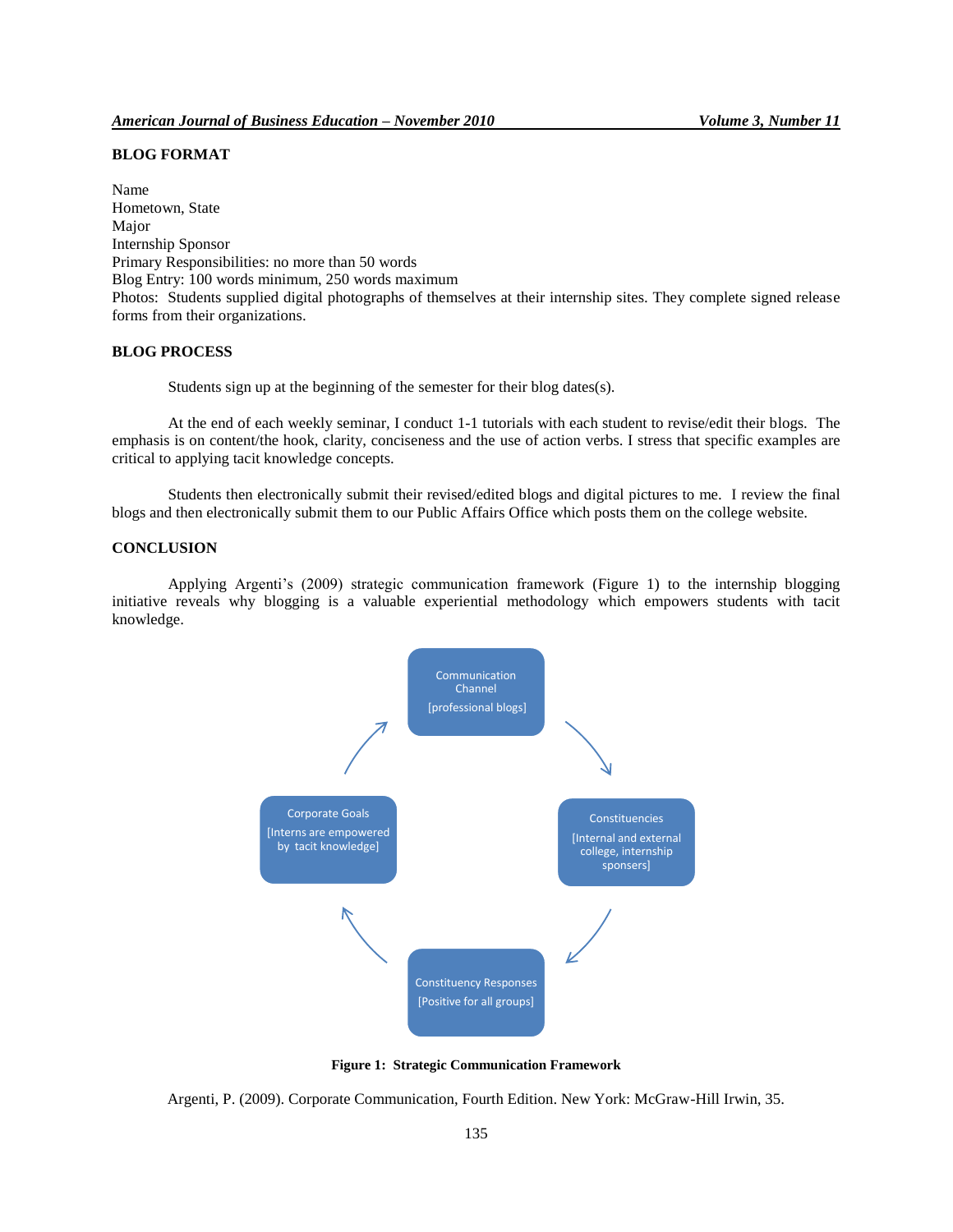# **BLOG FORMAT**

Name Hometown, State Major Internship Sponsor Primary Responsibilities: no more than 50 words Blog Entry: 100 words minimum, 250 words maximum Photos: Students supplied digital photographs of themselves at their internship sites. They complete signed release forms from their organizations.

# **BLOG PROCESS**

Students sign up at the beginning of the semester for their blog dates(s).

At the end of each weekly seminar, I conduct 1-1 tutorials with each student to revise/edit their blogs. The emphasis is on content/the hook, clarity, conciseness and the use of action verbs. I stress that specific examples are critical to applying tacit knowledge concepts.

Students then electronically submit their revised/edited blogs and digital pictures to me. I review the final blogs and then electronically submit them to our Public Affairs Office which posts them on the college website.

# **CONCLUSION**

Applying Argenti's (2009) strategic communication framework (Figure 1) to the internship blogging initiative reveals why blogging is a valuable experiential methodology which empowers students with tacit knowledge.



**Figure 1: Strategic Communication Framework**

Argenti, P. (2009). Corporate Communication, Fourth Edition. New York: McGraw-Hill Irwin, 35.